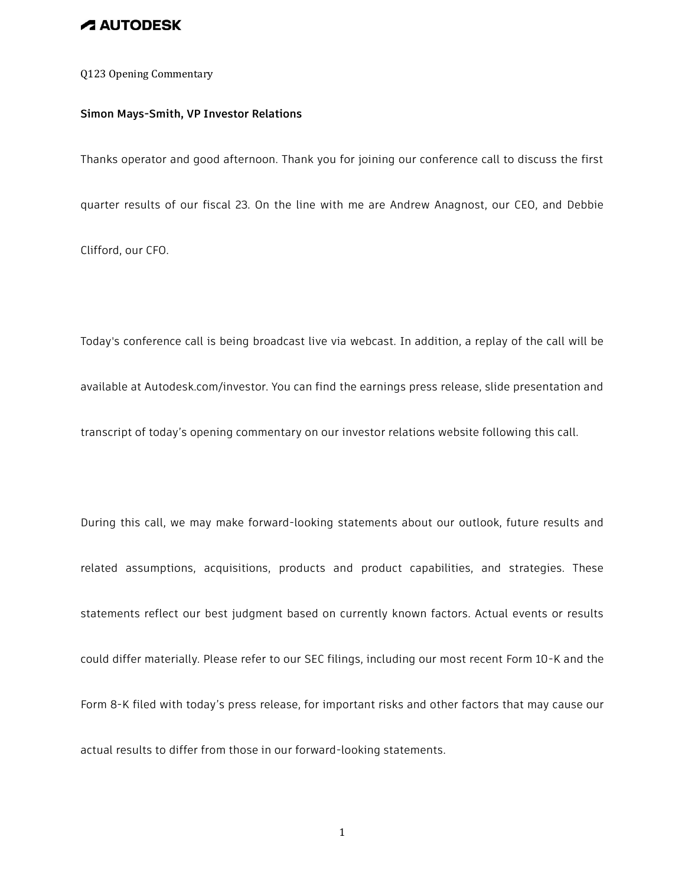Q123 Opening Commentary

#### **Simon Mays-Smith, VP Investor Relations**

Thanks operator and good afternoon. Thank you for joining our conference call to discuss the first

quarter results of our fiscal 23. On the line with me are Andrew Anagnost, our CEO, and Debbie

Clifford, our CFO.

Today's conference call is being broadcast live via webcast. In addition, a replay of the call will be available at Autodesk.com/investor. You can find the earnings press release, slide presentation and transcript of today's opening commentary on our investor relations website following this call.

During this call, we may make forward-looking statements about our outlook, future results and related assumptions, acquisitions, products and product capabilities, and strategies. These statements reflect our best judgment based on currently known factors. Actual events or results could differ materially. Please refer to our SEC filings, including our most recent Form 10-K and the Form 8-K filed with today's press release, for important risks and other factors that may cause our actual results to differ from those in our forward-looking statements.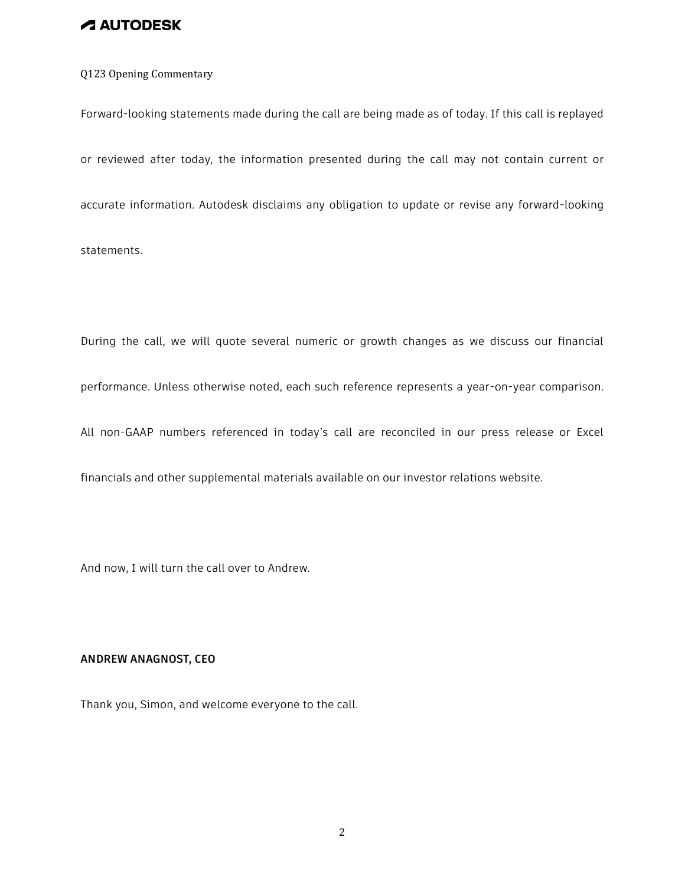### Q123 Opening Commentary

Forward-looking statements made during the call are being made as of today. If this call is replayed or reviewed after today, the information presented during the call may not contain current or accurate information. Autodesk disclaims any obligation to update or revise any forward-looking statements.

During the call, we will quote several numeric or growth changes as we discuss our financial performance. Unless otherwise noted, each such reference represents a year-on-year comparison.

All non-GAAP numbers referenced in today's call are reconciled in our press release or Excel

financials and other supplemental materials available on our investor relations website.

And now, I will turn the call over to Andrew.

#### **ANDREW ANAGNOST, CEO**

Thank you, Simon, and welcome everyone to the call.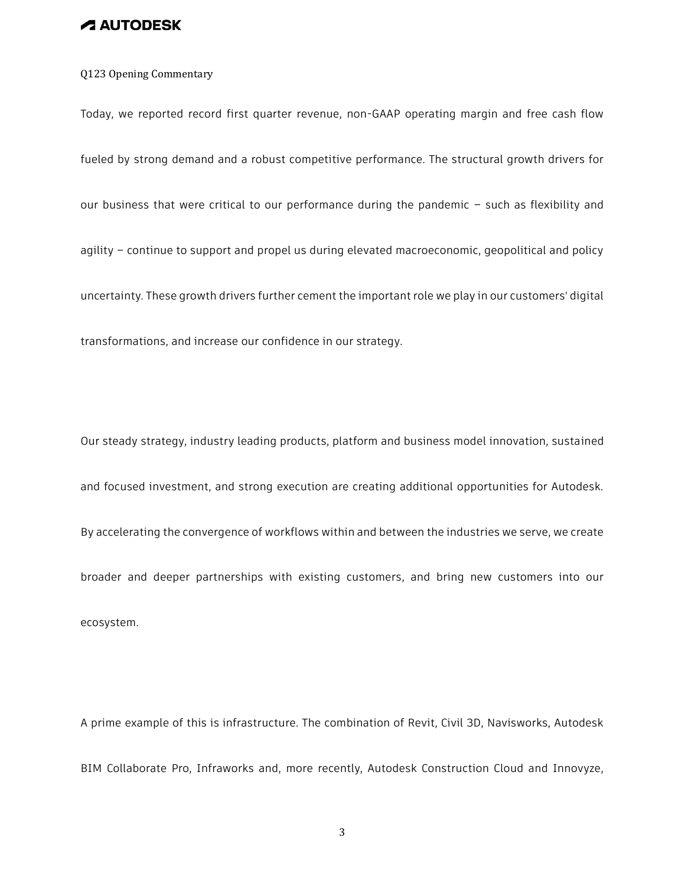### Q123 Opening Commentary

Today, we reported record first quarter revenue, non-GAAP operating margin and free cash flow fueled by strong demand and a robust competitive performance. The structural growth drivers for our business that were critical to our performance during the pandemic – such as flexibility and agility – continue to support and propel us during elevated macroeconomic, geopolitical and policy uncertainty. These growth drivers further cement the important role we play in our customers' digital transformations, and increase our confidence in our strategy.

Our steady strategy, industry leading products, platform and business model innovation, sustained and focused investment, and strong execution are creating additional opportunities for Autodesk. By accelerating the convergence of workflows within and between the industries we serve, we create broader and deeper partnerships with existing customers, and bring new customers into our ecosystem.

A prime example of this is infrastructure. The combination of Revit, Civil 3D, Navisworks, Autodesk BIM Collaborate Pro, Infraworks and, more recently, Autodesk Construction Cloud and Innovyze,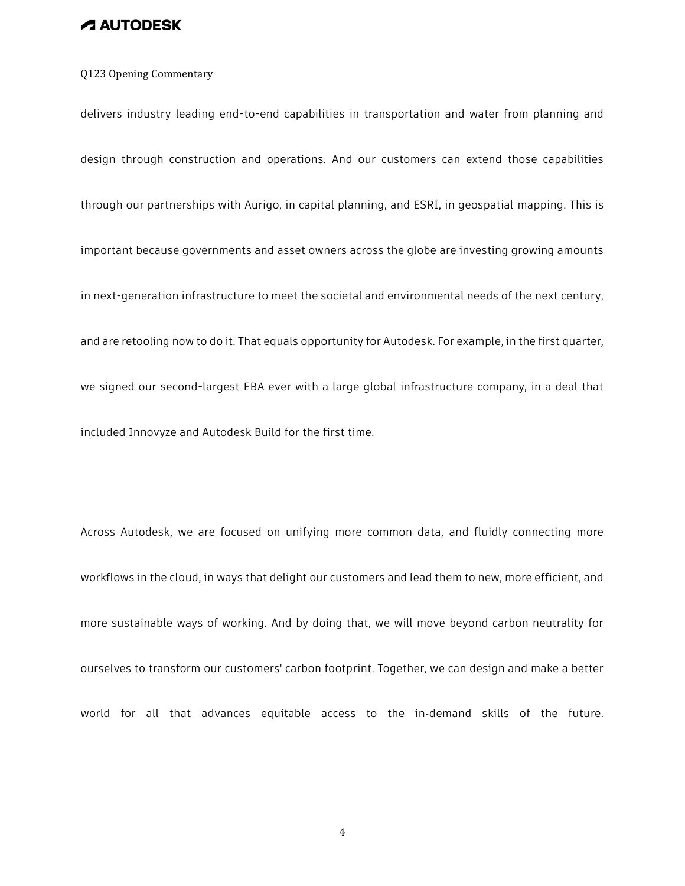#### Q123 Opening Commentary

delivers industry leading end-to-end capabilities in transportation and water from planning and design through construction and operations. And our customers can extend those capabilities through our partnerships with Aurigo, in capital planning, and ESRI, in geospatial mapping. This is important because governments and asset owners across the globe are investing growing amounts in next-generation infrastructure to meet the societal and environmental needs of the next century, and are retooling now to do it. That equals opportunity for Autodesk. For example, in the first quarter, we signed our second-largest EBA ever with a large global infrastructure company, in a deal that included Innovyze and Autodesk Build for the first time.

Across Autodesk, we are focused on unifying more common data, and fluidly connecting more workflows in the cloud, in ways that delight our customers and lead them to new, more efficient, and more sustainable ways of working. And by doing that, we will move beyond carbon neutrality for ourselves to transform our customers' carbon footprint. Together, we can design and make a better world for all that advances equitable access to the in-demand skills of the future.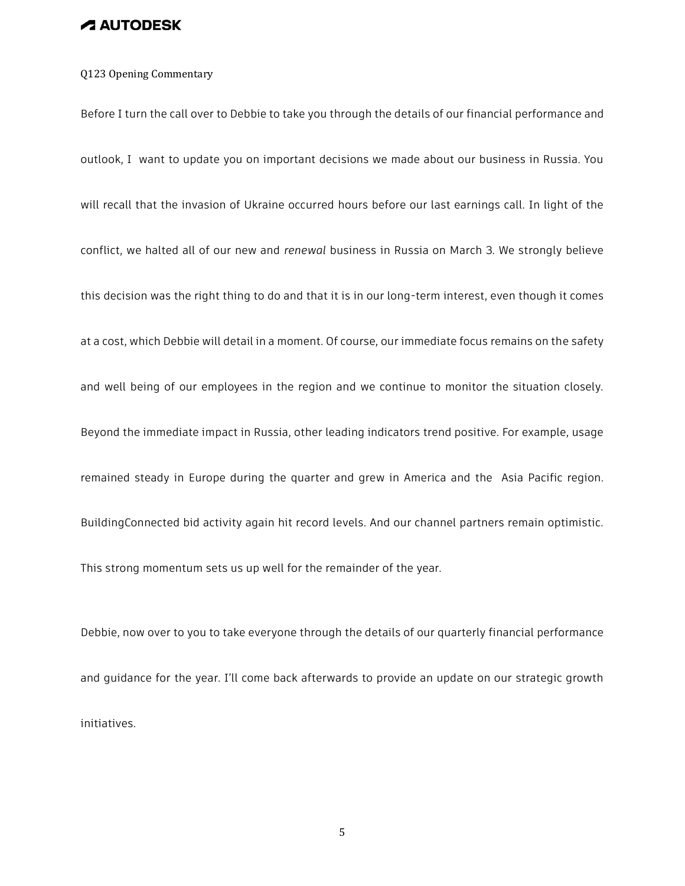#### Q123 Opening Commentary

Before I turn the call over to Debbie to take you through the details of our financial performance and outlook, I want to update you on important decisions we made about our business in Russia. You will recall that the invasion of Ukraine occurred hours before our last earnings call. In light of the conflict, we halted all of our new and *renewal* business in Russia on March 3. We strongly believe this decision was the right thing to do and that it is in our long-term interest, even though it comes at a cost, which Debbie will detail in a moment. Of course, our immediate focus remains on the safety and well being of our employees in the region and we continue to monitor the situation closely. Beyond the immediate impact in Russia, other leading indicators trend positive. For example, usage remained steady in Europe during the quarter and grew in America and the Asia Pacific region. BuildingConnected bid activity again hit record levels. And our channel partners remain optimistic. This strong momentum sets us up well for the remainder of the year.

Debbie, now over to you to take everyone through the details of our quarterly financial performance and guidance for the year. I'll come back afterwards to provide an update on our strategic growth initiatives.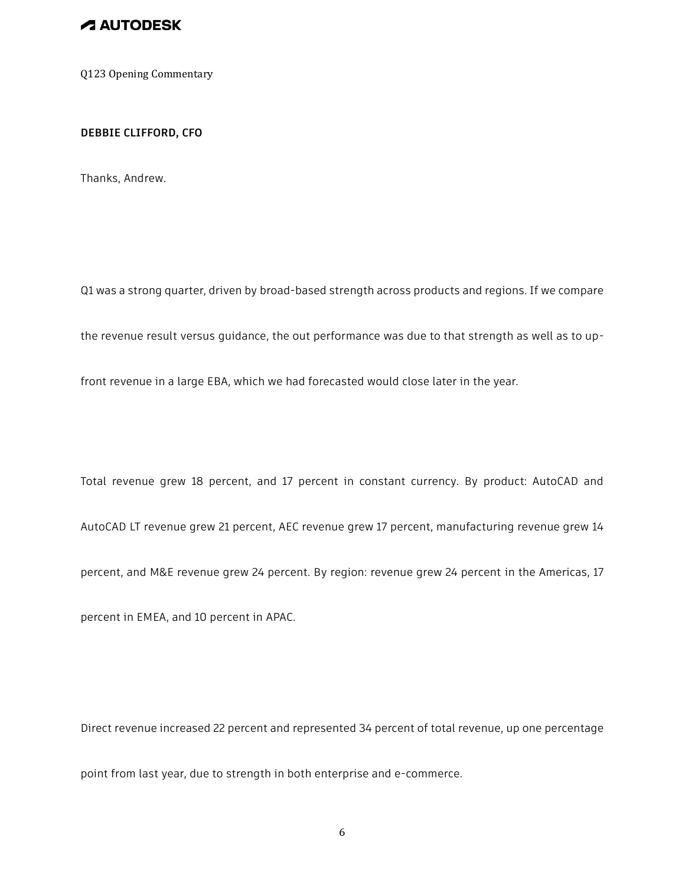Q123 Opening Commentary

#### **DEBBIE CLIFFORD, CFO**

Thanks, Andrew.

Q1 was a strong quarter, driven by broad-based strength across products and regions. If we compare

the revenue result versus guidance, the out performance was due to that strength as well as to up-

front revenue in a large EBA, which we had forecasted would close later in the year.

Total revenue grew 18 percent, and 17 percent in constant currency. By product: AutoCAD and

AutoCAD LT revenue grew 21 percent, AEC revenue grew 17 percent, manufacturing revenue grew 14

percent, and M&E revenue grew 24 percent. By region: revenue grew 24 percent in the Americas, 17

percent in EMEA, and 10 percent in APAC.

Direct revenue increased 22 percent and represented 34 percent of total revenue, up one percentage

point from last year, due to strength in both enterprise and e-commerce.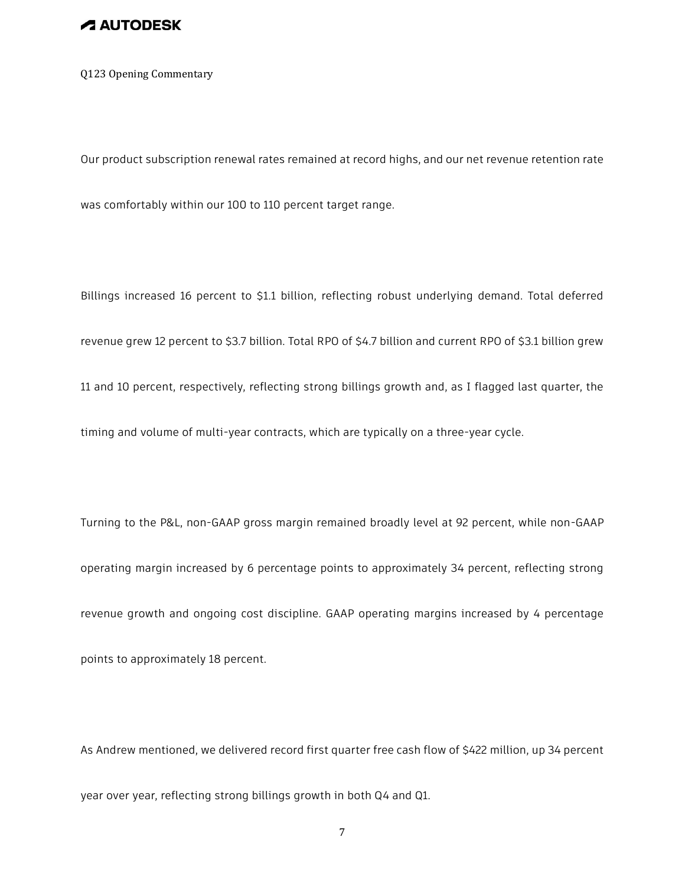Q123 Opening Commentary

Our product subscription renewal rates remained at record highs, and our net revenue retention rate

was comfortably within our 100 to 110 percent target range.

Billings increased 16 percent to \$1.1 billion, reflecting robust underlying demand. Total deferred revenue grew 12 percent to \$3.7 billion. Total RPO of \$4.7 billion and current RPO of \$3.1 billion grew 11 and 10 percent, respectively, reflecting strong billings growth and, as I flagged last quarter, the timing and volume of multi-year contracts, which are typically on a three-year cycle.

Turning to the P&L, non-GAAP gross margin remained broadly level at 92 percent, while non-GAAP operating margin increased by 6 percentage points to approximately 34 percent, reflecting strong revenue growth and ongoing cost discipline. GAAP operating margins increased by 4 percentage points to approximately 18 percent.

As Andrew mentioned, we delivered record first quarter free cash flow of \$422 million, up 34 percent year over year, reflecting strong billings growth in both Q4 and Q1.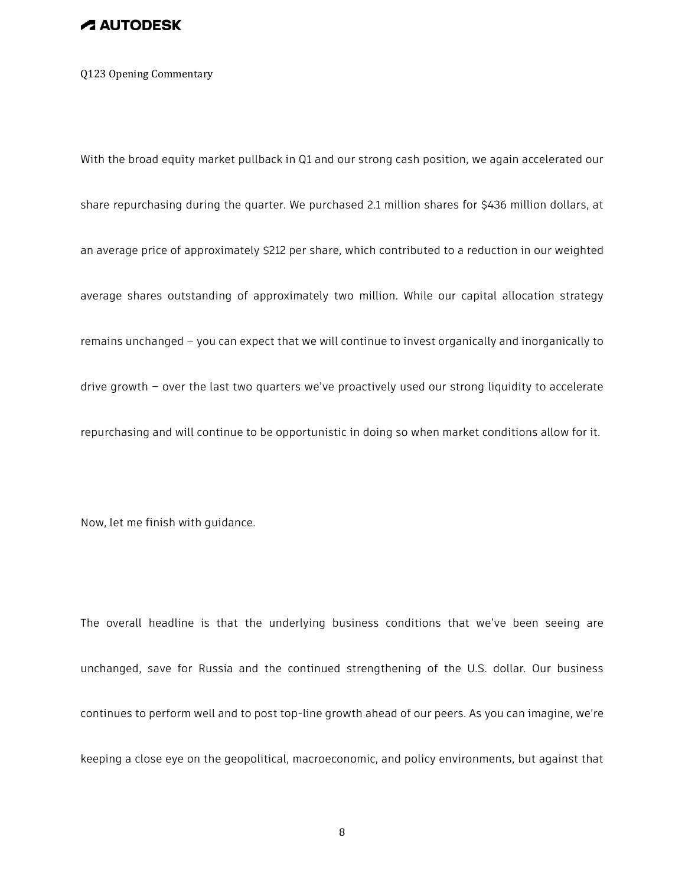Q123 Opening Commentary

With the broad equity market pullback in Q1 and our strong cash position, we again accelerated our share repurchasing during the quarter. We purchased 2.1 million shares for \$436 million dollars, at an average price of approximately \$212 per share, which contributed to a reduction in our weighted average shares outstanding of approximately two million. While our capital allocation strategy remains unchanged – you can expect that we will continue to invest organically and inorganically to drive growth – over the last two quarters we've proactively used our strong liquidity to accelerate repurchasing and will continue to be opportunistic in doing so when market conditions allow for it.

Now, let me finish with guidance.

The overall headline is that the underlying business conditions that we've been seeing are unchanged, save for Russia and the continued strengthening of the U.S. dollar. Our business continues to perform well and to post top-line growth ahead of our peers. As you can imagine, we're keeping a close eye on the geopolitical, macroeconomic, and policy environments, but against that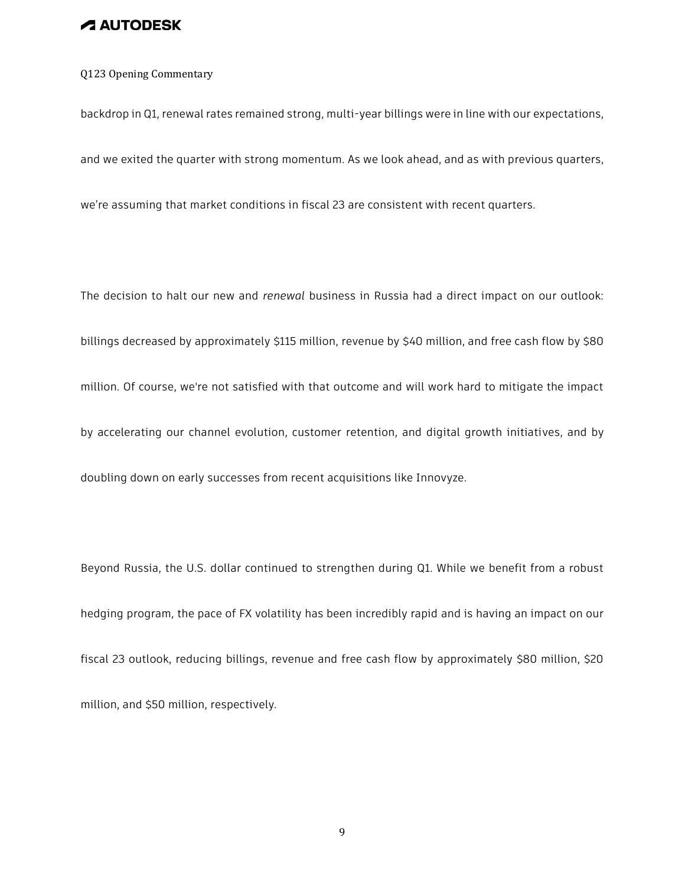### Q123 Opening Commentary

backdrop in Q1, renewal rates remained strong, multi-year billings were in line with our expectations,

and we exited the quarter with strong momentum. As we look ahead, and as with previous quarters,

we're assuming that market conditions in fiscal 23 are consistent with recent quarters.

The decision to halt our new and *renewal* business in Russia had a direct impact on our outlook: billings decreased by approximately \$115 million, revenue by \$40 million, and free cash flow by \$80 million. Of course, we're not satisfied with that outcome and will work hard to mitigate the impact by accelerating our channel evolution, customer retention, and digital growth initiatives, and by doubling down on early successes from recent acquisitions like Innovyze.

Beyond Russia, the U.S. dollar continued to strengthen during Q1. While we benefit from a robust hedging program, the pace of FX volatility has been incredibly rapid and is having an impact on our fiscal 23 outlook, reducing billings, revenue and free cash flow by approximately \$80 million, \$20 million, and \$50 million, respectively.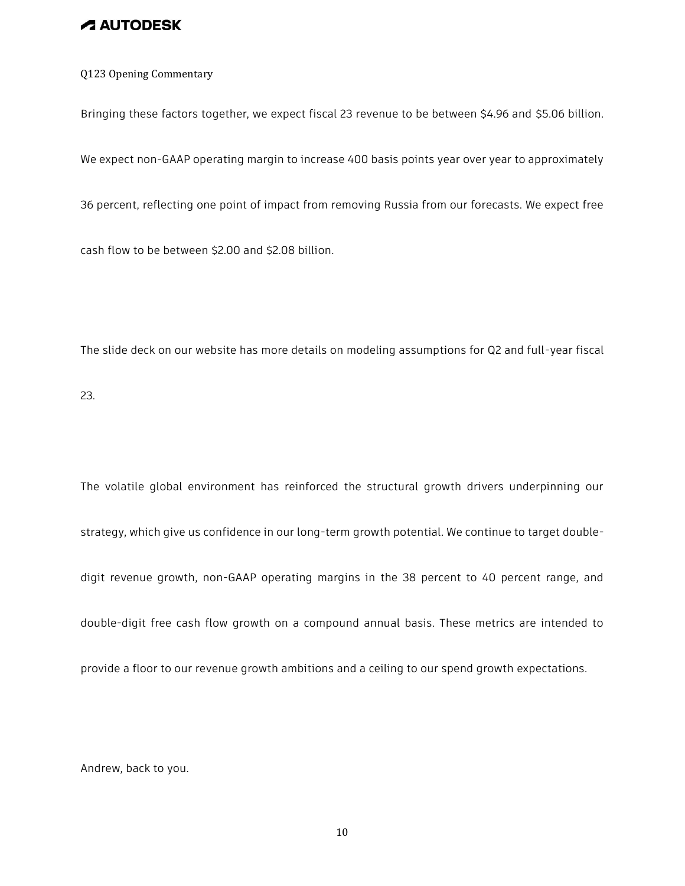Q123 Opening Commentary

Bringing these factors together, we expect fiscal 23 revenue to be between \$4.96 and \$5.06 billion.

We expect non-GAAP operating margin to increase 400 basis points year over year to approximately

36 percent, reflecting one point of impact from removing Russia from our forecasts. We expect free

cash flow to be between \$2.00 and \$2.08 billion.

The slide deck on our website has more details on modeling assumptions for Q2 and full-year fiscal

23.

The volatile global environment has reinforced the structural growth drivers underpinning our strategy, which give us confidence in our long-term growth potential. We continue to target doubledigit revenue growth, non-GAAP operating margins in the 38 percent to 40 percent range, and double-digit free cash flow growth on a compound annual basis. These metrics are intended to provide a floor to our revenue growth ambitions and a ceiling to our spend growth expectations.

Andrew, back to you.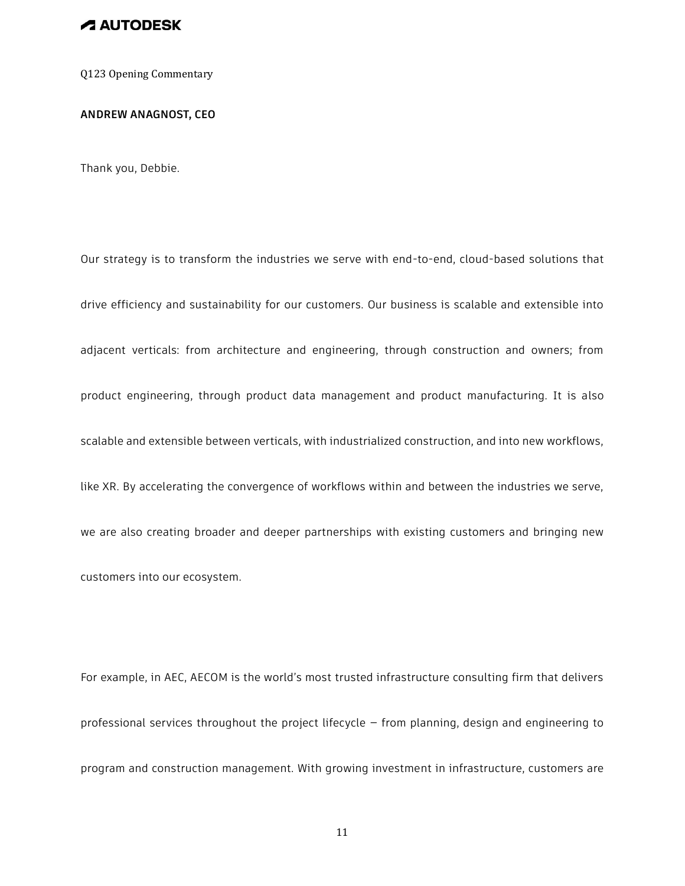Q123 Opening Commentary

**ANDREW ANAGNOST, CEO**

Thank you, Debbie.

Our strategy is to transform the industries we serve with end-to-end, cloud-based solutions that drive efficiency and sustainability for our customers. Our business is scalable and extensible into adjacent verticals: from architecture and engineering, through construction and owners; from product engineering, through product data management and product manufacturing. It is also scalable and extensible between verticals, with industrialized construction, and into new workflows, like XR. By accelerating the convergence of workflows within and between the industries we serve, we are also creating broader and deeper partnerships with existing customers and bringing new customers into our ecosystem.

For example, in AEC, AECOM is the world's most trusted infrastructure consulting firm that delivers professional services throughout the project lifecycle — from planning, design and engineering to program and construction management. With growing investment in infrastructure, customers are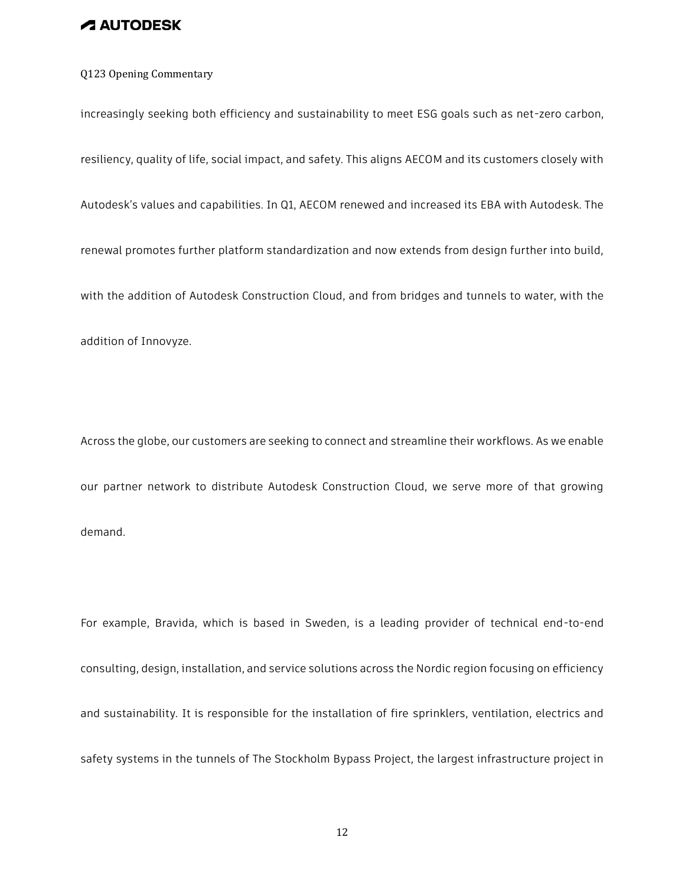### Q123 Opening Commentary

increasingly seeking both efficiency and sustainability to meet ESG goals such as net-zero carbon, resiliency, quality of life, social impact, and safety. This aligns AECOM and its customers closely with Autodesk's values and capabilities. In Q1, AECOM renewed and increased its EBA with Autodesk. The renewal promotes further platform standardization and now extends from design further into build, with the addition of Autodesk Construction Cloud, and from bridges and tunnels to water, with the addition of Innovyze.

Across the globe, our customers are seeking to connect and streamline their workflows. As we enable our partner network to distribute Autodesk Construction Cloud, we serve more of that growing demand.

For example, Bravida, which is based in Sweden, is a leading provider of technical end-to-end consulting, design, installation, and service solutions across the Nordic region focusing on efficiency and sustainability. It is responsible for the installation of fire sprinklers, ventilation, electrics and safety systems in the tunnels of The Stockholm Bypass Project, the largest infrastructure project in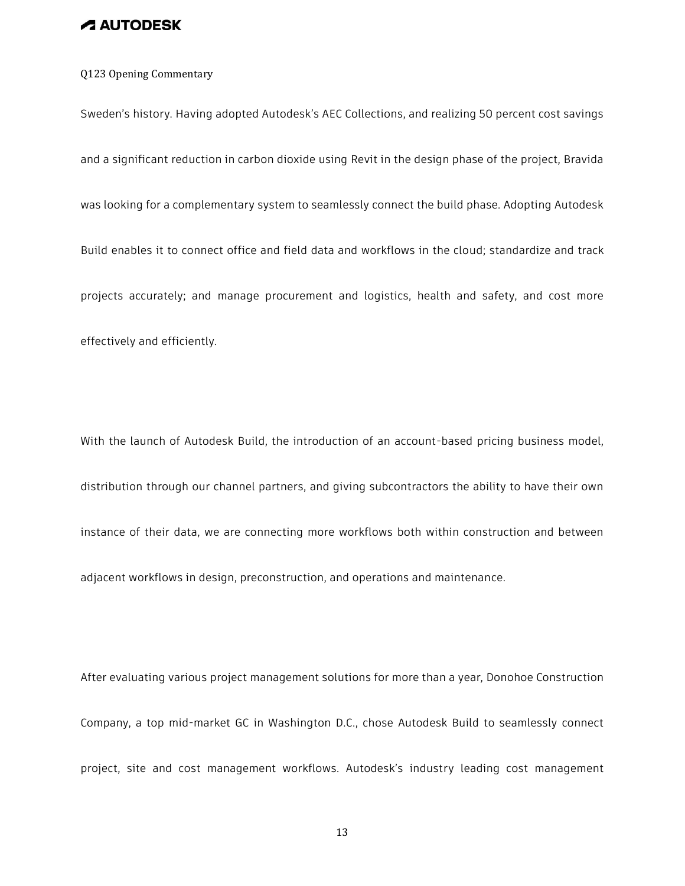### Q123 Opening Commentary

Sweden's history. Having adopted Autodesk's AEC Collections, and realizing 50 percent cost savings and a significant reduction in carbon dioxide using Revit in the design phase of the project, Bravida was looking for a complementary system to seamlessly connect the build phase. Adopting Autodesk Build enables it to connect office and field data and workflows in the cloud; standardize and track projects accurately; and manage procurement and logistics, health and safety, and cost more effectively and efficiently.

With the launch of Autodesk Build, the introduction of an account-based pricing business model, distribution through our channel partners, and giving subcontractors the ability to have their own instance of their data, we are connecting more workflows both within construction and between adjacent workflows in design, preconstruction, and operations and maintenance.

After evaluating various project management solutions for more than a year, Donohoe Construction Company, a top mid-market GC in Washington D.C., chose Autodesk Build to seamlessly connect project, site and cost management workflows. Autodesk's industry leading cost management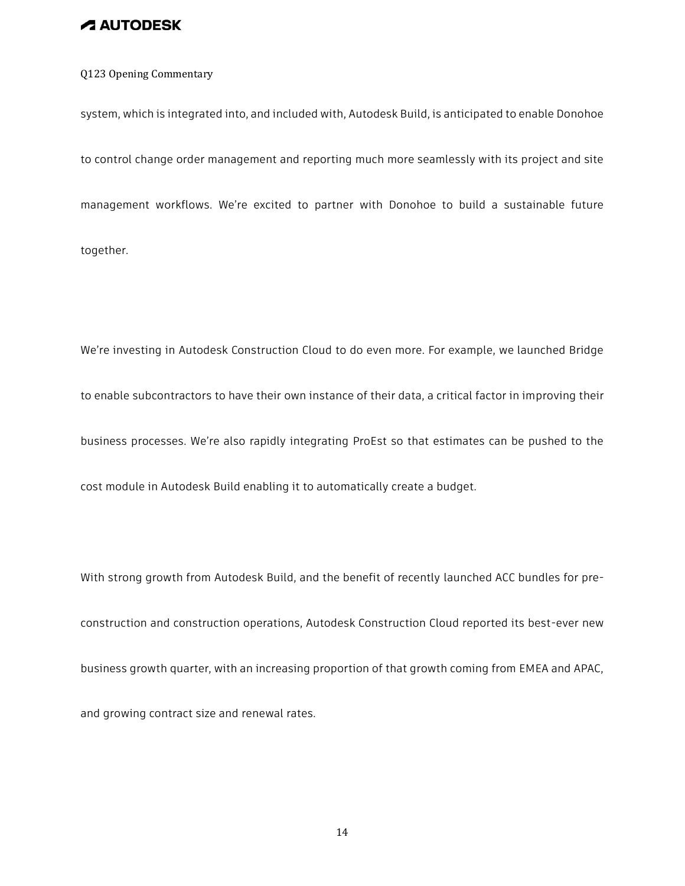### Q123 Opening Commentary

system, which is integrated into, and included with, Autodesk Build, is anticipated to enable Donohoe to control change order management and reporting much more seamlessly with its project and site management workflows. We're excited to partner with Donohoe to build a sustainable future together.

We're investing in Autodesk Construction Cloud to do even more. For example, we launched Bridge to enable subcontractors to have their own instance of their data, a critical factor in improving their business processes. We're also rapidly integrating ProEst so that estimates can be pushed to the cost module in Autodesk Build enabling it to automatically create a budget.

With strong growth from Autodesk Build, and the benefit of recently launched ACC bundles for preconstruction and construction operations, Autodesk Construction Cloud reported its best-ever new business growth quarter, with an increasing proportion of that growth coming from EMEA and APAC, and growing contract size and renewal rates.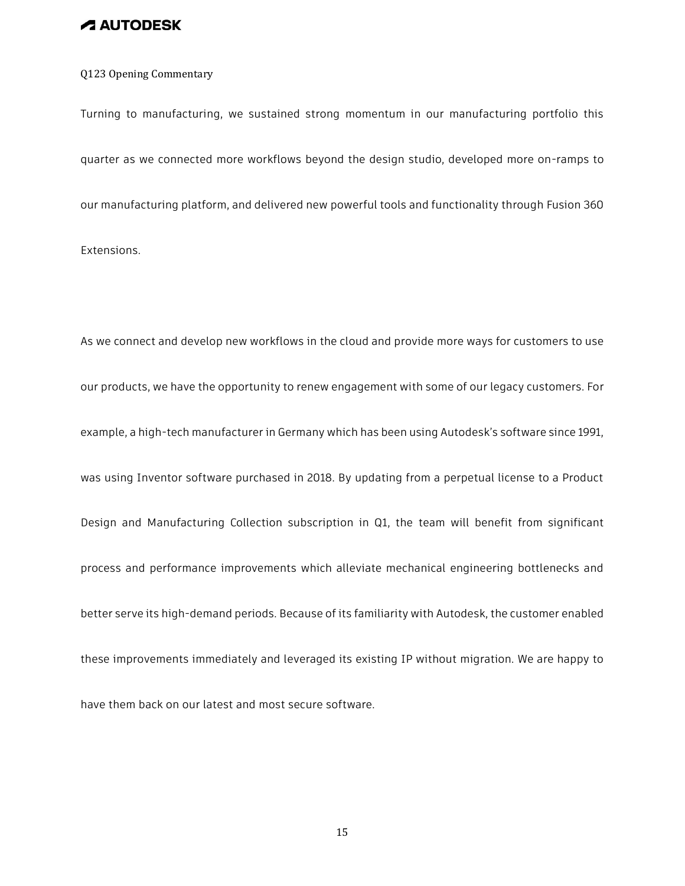#### Q123 Opening Commentary

Turning to manufacturing, we sustained strong momentum in our manufacturing portfolio this quarter as we connected more workflows beyond the design studio, developed more on-ramps to our manufacturing platform, and delivered new powerful tools and functionality through Fusion 360 Extensions.

As we connect and develop new workflows in the cloud and provide more ways for customers to use our products, we have the opportunity to renew engagement with some of our legacy customers. For example, a high-tech manufacturer in Germany which has been using Autodesk's software since 1991, was using Inventor software purchased in 2018. By updating from a perpetual license to a Product Design and Manufacturing Collection subscription in Q1, the team will benefit from significant process and performance improvements which alleviate mechanical engineering bottlenecks and better serve its high-demand periods. Because of its familiarity with Autodesk, the customer enabled these improvements immediately and leveraged its existing IP without migration. We are happy to have them back on our latest and most secure software.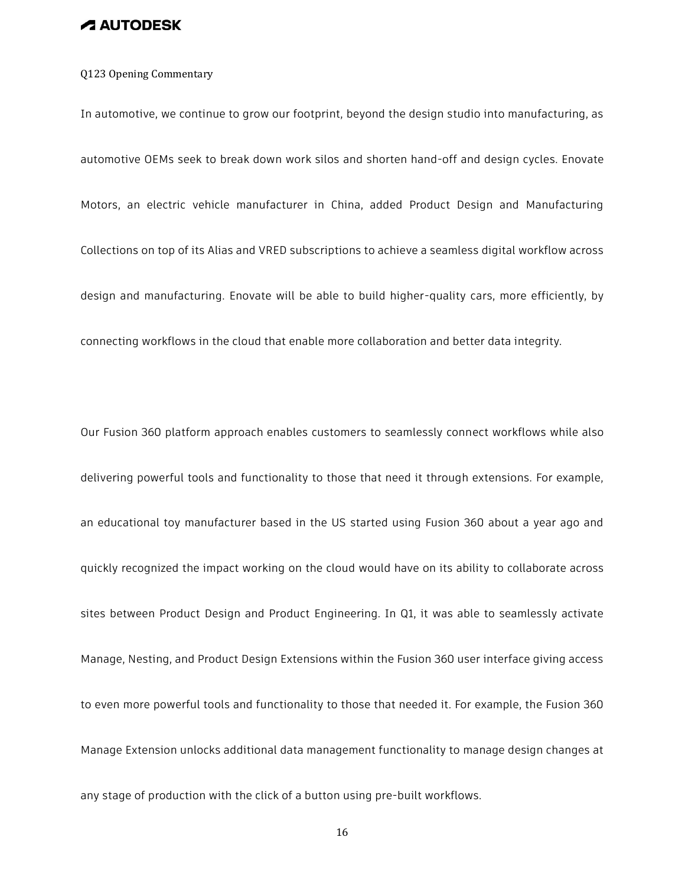#### Q123 Opening Commentary

In automotive, we continue to grow our footprint, beyond the design studio into manufacturing, as automotive OEMs seek to break down work silos and shorten hand-off and design cycles. Enovate Motors, an electric vehicle manufacturer in China, added Product Design and Manufacturing Collections on top of its Alias and VRED subscriptions to achieve a seamless digital workflow across design and manufacturing. Enovate will be able to build higher-quality cars, more efficiently, by connecting workflows in the cloud that enable more collaboration and better data integrity.

Our Fusion 360 platform approach enables customers to seamlessly connect workflows while also delivering powerful tools and functionality to those that need it through extensions. For example, an educational toy manufacturer based in the US started using Fusion 360 about a year ago and quickly recognized the impact working on the cloud would have on its ability to collaborate across sites between Product Design and Product Engineering. In Q1, it was able to seamlessly activate Manage, Nesting, and Product Design Extensions within the Fusion 360 user interface giving access to even more powerful tools and functionality to those that needed it. For example, the Fusion 360 Manage Extension unlocks additional data management functionality to manage design changes at any stage of production with the click of a button using pre-built workflows.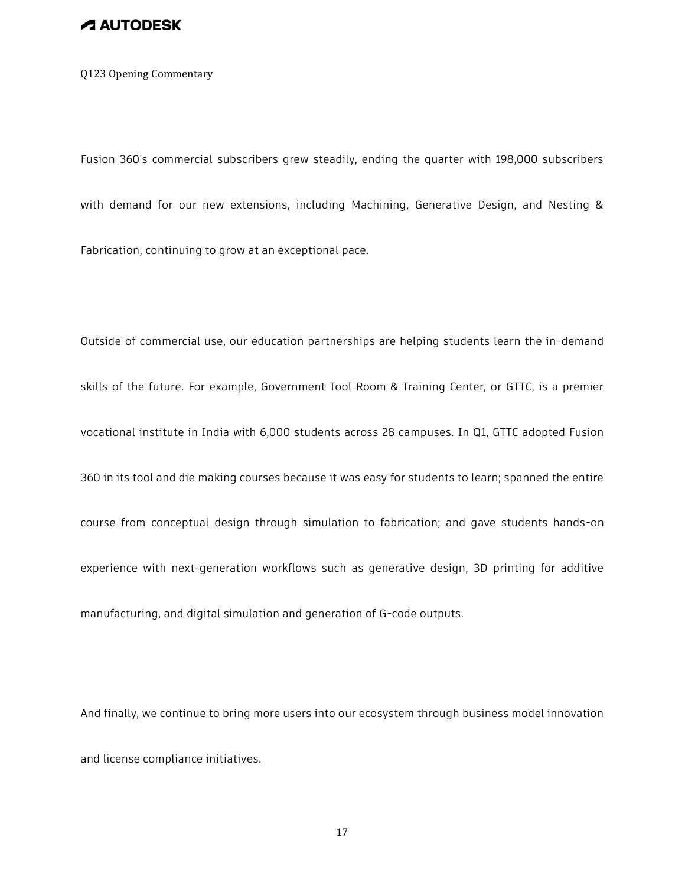Q123 Opening Commentary

Fusion 360's commercial subscribers grew steadily, ending the quarter with 198,000 subscribers with demand for our new extensions, including Machining, Generative Design, and Nesting & Fabrication, continuing to grow at an exceptional pace.

Outside of commercial use, our education partnerships are helping students learn the in-demand skills of the future. For example, Government Tool Room & Training Center, or GTTC, is a premier vocational institute in India with 6,000 students across 28 campuses. In Q1, GTTC adopted Fusion 360 in its tool and die making courses because it was easy for students to learn; spanned the entire course from conceptual design through simulation to fabrication; and gave students hands-on experience with next-generation workflows such as generative design, 3D printing for additive manufacturing, and digital simulation and generation of G-code outputs.

And finally, we continue to bring more users into our ecosystem through business model innovation and license compliance initiatives.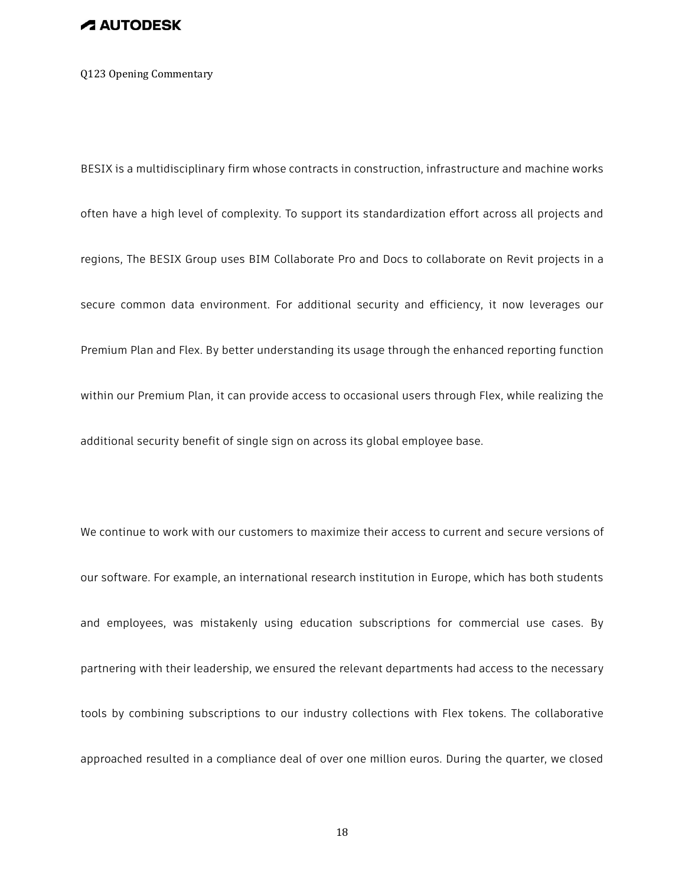#### Q123 Opening Commentary

BESIX is a multidisciplinary firm whose contracts in construction, infrastructure and machine works often have a high level of complexity. To support its standardization effort across all projects and regions, The BESIX Group uses BIM Collaborate Pro and Docs to collaborate on Revit projects in a secure common data environment. For additional security and efficiency, it now leverages our Premium Plan and Flex. By better understanding its usage through the enhanced reporting function within our Premium Plan, it can provide access to occasional users through Flex, while realizing the additional security benefit of single sign on across its global employee base.

We continue to work with our customers to maximize their access to current and secure versions of our software. For example, an international research institution in Europe, which has both students and employees, was mistakenly using education subscriptions for commercial use cases. By partnering with their leadership, we ensured the relevant departments had access to the necessary tools by combining subscriptions to our industry collections with Flex tokens. The collaborative approached resulted in a compliance deal of over one million euros. During the quarter, we closed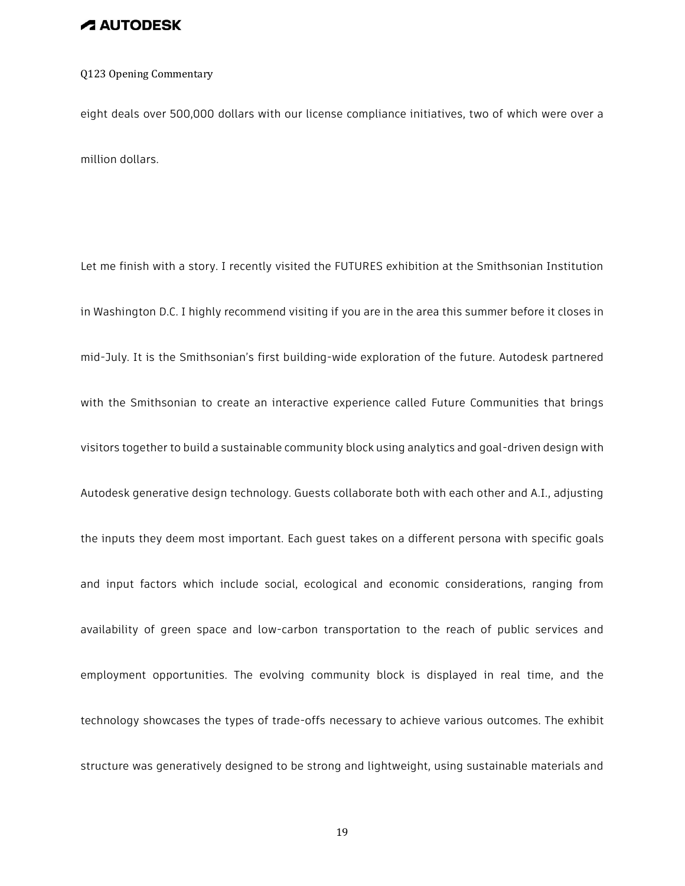#### Q123 Opening Commentary

eight deals over 500,000 dollars with our license compliance initiatives, two of which were over a million dollars.

Let me finish with a story. I recently visited the FUTURES exhibition at the Smithsonian Institution in Washington D.C. I highly recommend visiting if you are in the area this summer before it closes in mid-July. It is the Smithsonian's first building-wide exploration of the future. Autodesk partnered with the Smithsonian to create an interactive experience called Future Communities that brings visitors together to build a sustainable community block using analytics and goal-driven design with Autodesk generative design technology. Guests collaborate both with each other and A.I., adjusting the inputs they deem most important. Each guest takes on a different persona with specific goals and input factors which include social, ecological and economic considerations, ranging from availability of green space and low-carbon transportation to the reach of public services and employment opportunities. The evolving community block is displayed in real time, and the technology showcases the types of trade-offs necessary to achieve various outcomes. The exhibit structure was generatively designed to be strong and lightweight, using sustainable materials and